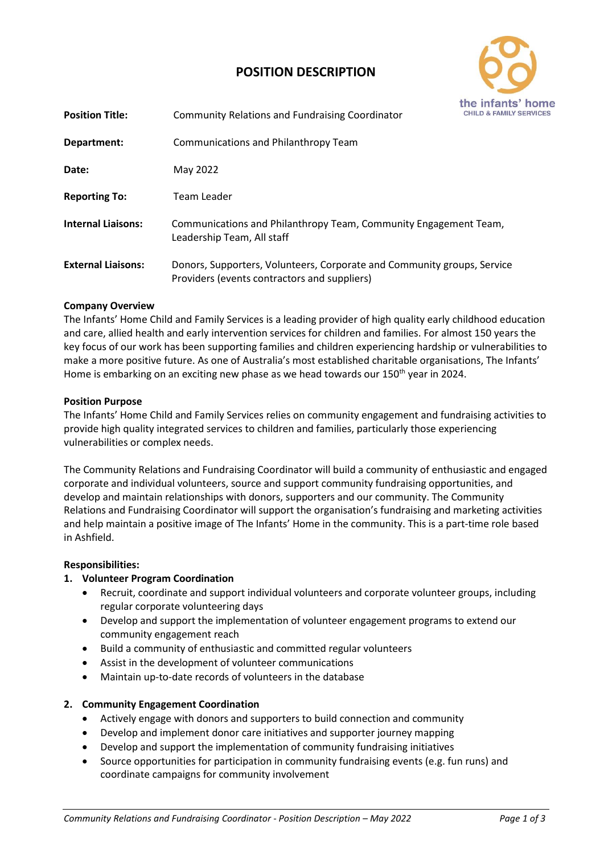# **POSITION DESCRIPTION**



| <b>Position Title:</b>    | <b>Community Relations and Fundraising Coordinator</b>                                                                  | <b>CHILD &amp; FAMILY</b> |
|---------------------------|-------------------------------------------------------------------------------------------------------------------------|---------------------------|
| Department:               | Communications and Philanthropy Team                                                                                    |                           |
| Date:                     | May 2022                                                                                                                |                           |
| <b>Reporting To:</b>      | Team Leader                                                                                                             |                           |
| <b>Internal Liaisons:</b> | Communications and Philanthropy Team, Community Engagement Team,<br>Leadership Team, All staff                          |                           |
| <b>External Liaisons:</b> | Donors, Supporters, Volunteers, Corporate and Community groups, Service<br>Providers (events contractors and suppliers) |                           |

### **Company Overview**

The Infants' Home Child and Family Services is a leading provider of high quality early childhood education and care, allied health and early intervention services for children and families. For almost 150 years the key focus of our work has been supporting families and children experiencing hardship or vulnerabilities to make a more positive future. As one of Australia's most established charitable organisations, The Infants' Home is embarking on an exciting new phase as we head towards our 150<sup>th</sup> year in 2024.

### **Position Purpose**

The Infants' Home Child and Family Services relies on community engagement and fundraising activities to provide high quality integrated services to children and families, particularly those experiencing vulnerabilities or complex needs.

The Community Relations and Fundraising Coordinator will build a community of enthusiastic and engaged corporate and individual volunteers, source and support community fundraising opportunities, and develop and maintain relationships with donors, supporters and our community. The Community Relations and Fundraising Coordinator will support the organisation's fundraising and marketing activities and help maintain a positive image of The Infants' Home in the community. This is a part-time role based in Ashfield.

### **Responsibilities:**

### **1. Volunteer Program Coordination**

- Recruit, coordinate and support individual volunteers and corporate volunteer groups, including regular corporate volunteering days
- Develop and support the implementation of volunteer engagement programs to extend our community engagement reach
- Build a community of enthusiastic and committed regular volunteers
- Assist in the development of volunteer communications
- Maintain up-to-date records of volunteers in the database

### **2. Community Engagement Coordination**

- Actively engage with donors and supporters to build connection and community
- Develop and implement donor care initiatives and supporter journey mapping
- Develop and support the implementation of community fundraising initiatives
- Source opportunities for participation in community fundraising events (e.g. fun runs) and coordinate campaigns for community involvement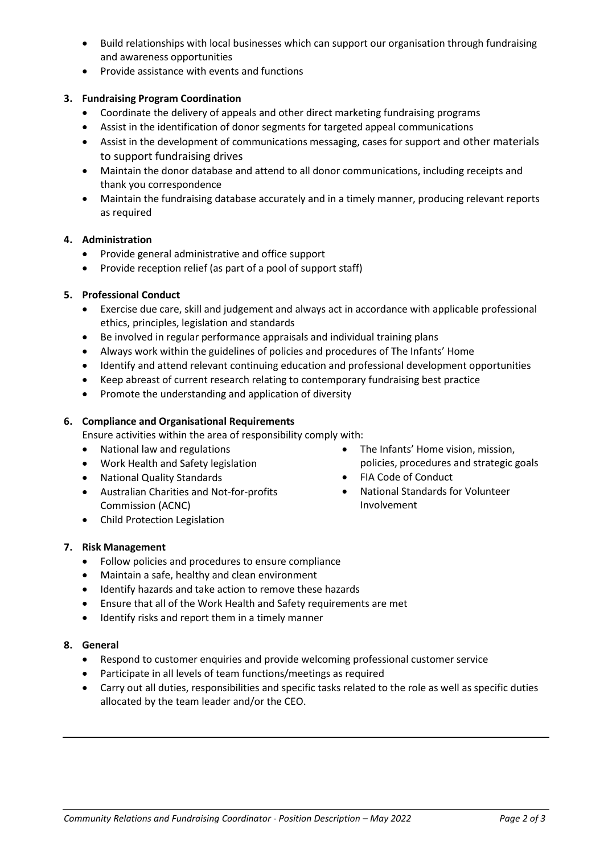- Build relationships with local businesses which can support our organisation through fundraising and awareness opportunities
- Provide assistance with events and functions

# **3. Fundraising Program Coordination**

- Coordinate the delivery of appeals and other direct marketing fundraising programs
- Assist in the identification of donor segments for targeted appeal communications
- Assist in the development of communications messaging, cases for support and other materials to support fundraising drives
- Maintain the donor database and attend to all donor communications, including receipts and thank you correspondence
- Maintain the fundraising database accurately and in a timely manner, producing relevant reports as required

# **4. Administration**

- Provide general administrative and office support
- Provide reception relief (as part of a pool of support staff)

# **5. Professional Conduct**

- Exercise due care, skill and judgement and always act in accordance with applicable professional ethics, principles, legislation and standards
- Be involved in regular performance appraisals and individual training plans
- Always work within the guidelines of policies and procedures of The Infants' Home
- Identify and attend relevant continuing education and professional development opportunities
- Keep abreast of current research relating to contemporary fundraising best practice
- Promote the understanding and application of diversity

### **6. Compliance and Organisational Requirements**

Ensure activities within the area of responsibility comply with:

- National law and regulations
- Work Health and Safety legislation
- National Quality Standards
- Australian Charities and Not-for-profits Commission (ACNC)
- Child Protection Legislation

### **7. Risk Management**

- Follow policies and procedures to ensure compliance
- Maintain a safe, healthy and clean environment
- Identify hazards and take action to remove these hazards
- Ensure that all of the Work Health and Safety requirements are met
- Identify risks and report them in a timely manner

# **8. General**

- Respond to customer enquiries and provide welcoming professional customer service
- Participate in all levels of team functions/meetings as required
- Carry out all duties, responsibilities and specific tasks related to the role as well as specific duties allocated by the team leader and/or the CEO.
- The Infants' Home vision, mission, policies, procedures and strategic goals
- FIA Code of Conduct
- National Standards for Volunteer Involvement